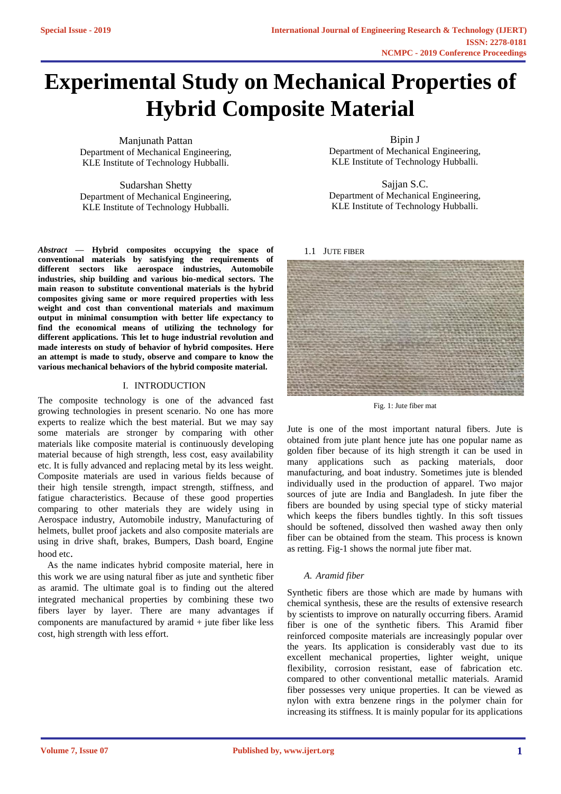# **Experimental Study on Mechanical Properties of Hybrid Composite Material**

Manjunath Pattan Department of Mechanical Engineering, KLE Institute of Technology Hubballi.

Sudarshan Shetty Department of Mechanical Engineering, KLE Institute of Technology Hubballi.

*Abstract* **— Hybrid composites occupying the space of conventional materials by satisfying the requirements of different sectors like aerospace industries, Automobile industries, ship building and various bio-medical sectors. The main reason to substitute conventional materials is the hybrid composites giving same or more required properties with less weight and cost than conventional materials and maximum output in minimal consumption with better life expectancy to find the economical means of utilizing the technology for different applications. This let to huge industrial revolution and made interests on study of behavior of hybrid composites. Here an attempt is made to study, observe and compare to know the various mechanical behaviors of the hybrid composite material.**

## I. INTRODUCTION

The composite technology is one of the advanced fast growing technologies in present scenario. No one has more experts to realize which the best material. But we may say some materials are stronger by comparing with other materials like composite material is continuously developing material because of high strength, less cost, easy availability etc. It is fully advanced and replacing metal by its less weight. Composite materials are used in various fields because of their high tensile strength, impact strength, stiffness, and fatigue characteristics. Because of these good properties comparing to other materials they are widely using in Aerospace industry, Automobile industry, Manufacturing of helmets, bullet proof jackets and also composite materials are using in drive shaft, brakes, Bumpers, Dash board, Engine hood etc.

As the name indicates hybrid composite material, here in this work we are using natural fiber as jute and synthetic fiber as aramid. The ultimate goal is to finding out the altered integrated mechanical properties by combining these two fibers layer by layer. There are many advantages if components are manufactured by aramid + jute fiber like less cost, high strength with less effort.

Bipin J Department of Mechanical Engineering, KLE Institute of Technology Hubballi.

Sajjan S.C. Department of Mechanical Engineering, KLE Institute of Technology Hubballi.

#### 1.1 JUTE FIBER



Fig. 1: Jute fiber mat

Jute is one of the most important natural fibers. Jute is obtained from jute plant hence jute has one popular name as golden fiber because of its high strength it can be used in many applications such as packing materials, door manufacturing, and boat industry. Sometimes jute is blended individually used in the production of apparel. Two major sources of jute are India and Bangladesh. In jute fiber the fibers are bounded by using special type of sticky material which keeps the fibers bundles tightly. In this soft tissues should be softened, dissolved then washed away then only fiber can be obtained from the steam. This process is known as retting. Fig-1 shows the normal jute fiber mat.

## *A. Aramid fiber*

Synthetic fibers are those which are made by humans with chemical synthesis, these are the results of extensive research by scientists to improve on naturally occurring fibers. Aramid fiber is one of the synthetic fibers. This Aramid fiber reinforced composite materials are increasingly popular over the years. Its application is considerably vast due to its excellent mechanical properties, lighter weight, unique flexibility, corrosion resistant, ease of fabrication etc. compared to other conventional metallic materials. Aramid fiber possesses very unique properties. It can be viewed as nylon with extra benzene rings in the polymer chain for increasing its stiffness. It is mainly popular for its applications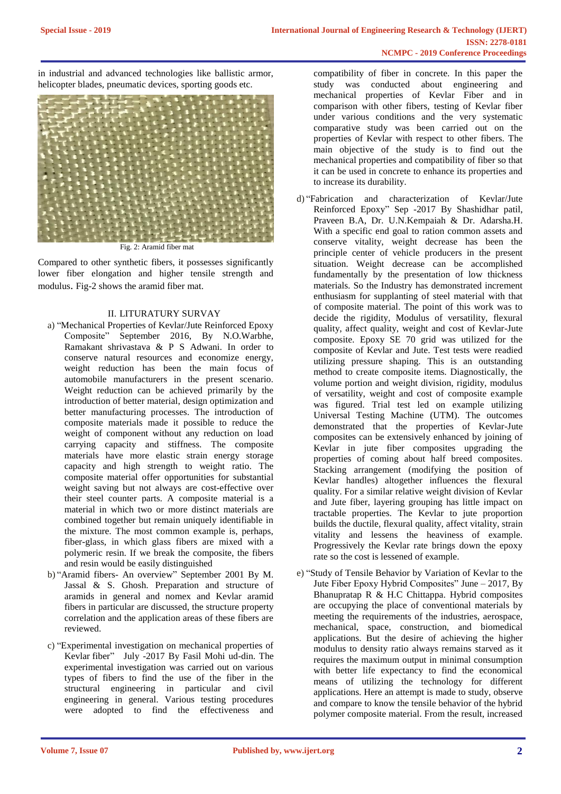in industrial and advanced technologies like ballistic armor, helicopter blades, pneumatic devices, sporting goods etc.



Fig. 2: Aramid fiber mat

Compared to other synthetic fibers, it possesses significantly lower fiber elongation and higher tensile strength and modulus. Fig-2 shows the aramid fiber mat.

# II. LITURATURY SURVAY

- a) "Mechanical Properties of Kevlar/Jute Reinforced Epoxy Composite" September 2016, By N.O.Warbhe, Ramakant shrivastava & P S Adwani. In order to conserve natural resources and economize energy, weight reduction has been the main focus of automobile manufacturers in the present scenario. Weight reduction can be achieved primarily by the introduction of better material, design optimization and better manufacturing processes. The introduction of composite materials made it possible to reduce the weight of component without any reduction on load carrying capacity and stiffness. The composite materials have more elastic strain energy storage capacity and high strength to weight ratio. The composite material offer opportunities for substantial weight saving but not always are cost-effective over their steel counter parts. A composite material is a material in which two or more distinct materials are combined together but remain uniquely identifiable in the mixture. The most common example is, perhaps, fiber-glass, in which glass fibers are mixed with a polymeric resin. If we break the composite, the fibers and resin would be easily distinguished
- b) "Aramid fibers- An overview" September 2001 By M. Jassal & S. Ghosh. Preparation and structure of aramids in general and nomex and Kevlar aramid fibers in particular are discussed, the structure property correlation and the application areas of these fibers are reviewed.
- c) "Experimental investigation on mechanical properties of Kevlar fiber" July -2017 By Fasil Mohi ud-din. The experimental investigation was carried out on various types of fibers to find the use of the fiber in the structural engineering in particular and civil engineering in general. Various testing procedures were adopted to find the effectiveness and

compatibility of fiber in concrete. In this paper the study was conducted about engineering and mechanical properties of Kevlar Fiber and in comparison with other fibers, testing of Kevlar fiber under various conditions and the very systematic comparative study was been carried out on the properties of Kevlar with respect to other fibers. The main objective of the study is to find out the mechanical properties and compatibility of fiber so that it can be used in concrete to enhance its properties and to increase its durability.

- d) "Fabrication and characterization of Kevlar/Jute Reinforced Epoxy" Sep -2017 By Shashidhar patil, Praveen B.A, Dr. U.N.Kempaiah & Dr. Adarsha.H. With a specific end goal to ration common assets and conserve vitality, weight decrease has been the principle center of vehicle producers in the present situation. Weight decrease can be accomplished fundamentally by the presentation of low thickness materials. So the Industry has demonstrated increment enthusiasm for supplanting of steel material with that of composite material. The point of this work was to decide the rigidity, Modulus of versatility, flexural quality, affect quality, weight and cost of Kevlar-Jute composite. Epoxy SE 70 grid was utilized for the composite of Kevlar and Jute. Test tests were readied utilizing pressure shaping. This is an outstanding method to create composite items. Diagnostically, the volume portion and weight division, rigidity, modulus of versatility, weight and cost of composite example was figured. Trial test led on example utilizing Universal Testing Machine (UTM). The outcomes demonstrated that the properties of Kevlar-Jute composites can be extensively enhanced by joining of Kevlar in jute fiber composites upgrading the properties of coming about half breed composites. Stacking arrangement (modifying the position of Kevlar handles) altogether influences the flexural quality. For a similar relative weight division of Kevlar and Jute fiber, layering grouping has little impact on tractable properties. The Kevlar to jute proportion builds the ductile, flexural quality, affect vitality, strain vitality and lessens the heaviness of example. Progressively the Kevlar rate brings down the epoxy rate so the cost is lessened of example.
- e) "Study of Tensile Behavior by Variation of Kevlar to the Jute Fiber Epoxy Hybrid Composites" June – 2017, By Bhanupratap R & H.C Chittappa. Hybrid composites are occupying the place of conventional materials by meeting the requirements of the industries, aerospace, mechanical, space, construction, and biomedical applications. But the desire of achieving the higher modulus to density ratio always remains starved as it requires the maximum output in minimal consumption with better life expectancy to find the economical means of utilizing the technology for different applications. Here an attempt is made to study, observe and compare to know the tensile behavior of the hybrid polymer composite material. From the result, increased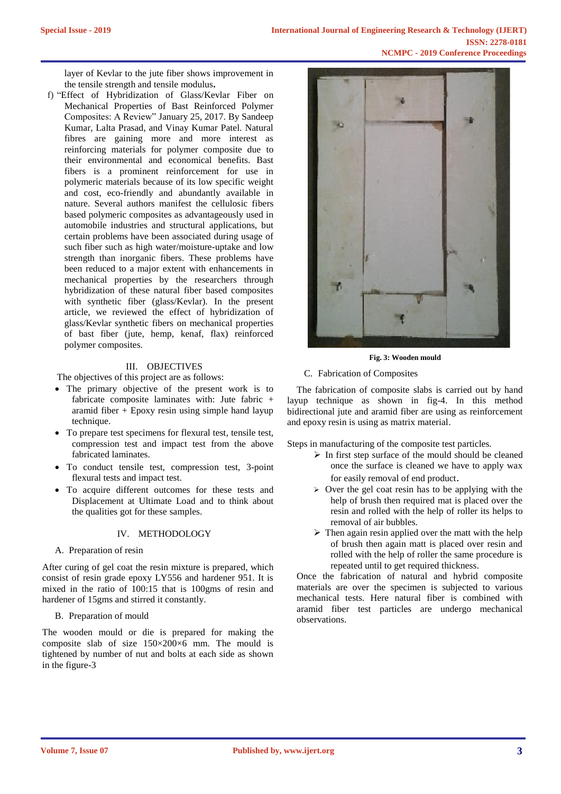layer of Kevlar to the jute fiber shows improvement in the tensile strength and tensile modulus**.**

f) "Effect of Hybridization of Glass/Kevlar Fiber on Mechanical Properties of Bast Reinforced Polymer Composites: A Review" January 25, 2017. By Sandeep Kumar, Lalta Prasad, and Vinay Kumar Patel. Natural fibres are gaining more and more interest as reinforcing materials for polymer composite due to their environmental and economical benefits. Bast fibers is a prominent reinforcement for use in polymeric materials because of its low specific weight and cost, eco-friendly and abundantly available in nature. Several authors manifest the cellulosic fibers based polymeric composites as advantageously used in automobile industries and structural applications, but certain problems have been associated during usage of such fiber such as high water/moisture-uptake and low strength than inorganic fibers. These problems have been reduced to a major extent with enhancements in mechanical properties by the researchers through hybridization of these natural fiber based composites with synthetic fiber (glass/Kevlar). In the present article, we reviewed the effect of hybridization of glass/Kevlar synthetic fibers on mechanical properties of bast fiber (jute, hemp, kenaf, flax) reinforced polymer composites.

# III. OBJECTIVES

The objectives of this project are as follows:

- The primary objective of the present work is to fabricate composite laminates with: Jute fabric + aramid fiber  $+$  Epoxy resin using simple hand layup technique.
- To prepare test specimens for flexural test, tensile test, compression test and impact test from the above fabricated laminates.
- To conduct tensile test, compression test, 3-point flexural tests and impact test.
- To acquire different outcomes for these tests and Displacement at Ultimate Load and to think about the qualities got for these samples.

## IV. METHODOLOGY

A. Preparation of resin

After curing of gel coat the resin mixture is prepared, which consist of resin grade epoxy LY556 and hardener 951. It is mixed in the ratio of 100:15 that is 100gms of resin and hardener of 15gms and stirred it constantly.

B. Preparation of mould

The wooden mould or die is prepared for making the composite slab of size 150×200×6 mm. The mould is tightened by number of nut and bolts at each side as shown in the figure-3



**Fig. 3: Wooden mould**

# C. Fabrication of Composites

The fabrication of composite slabs is carried out by hand layup technique as shown in fig-4. In this method bidirectional jute and aramid fiber are using as reinforcement and epoxy resin is using as matrix material.

Steps in manufacturing of the composite test particles.

- $\triangleright$  In first step surface of the mould should be cleaned once the surface is cleaned we have to apply wax for easily removal of end product.
- $\geq$  Over the gel coat resin has to be applying with the help of brush then required mat is placed over the resin and rolled with the help of roller its helps to removal of air bubbles.
- $\triangleright$  Then again resin applied over the matt with the help of brush then again matt is placed over resin and rolled with the help of roller the same procedure is repeated until to get required thickness.

Once the fabrication of natural and hybrid composite materials are over the specimen is subjected to various mechanical tests. Here natural fiber is combined with aramid fiber test particles are undergo mechanical observations.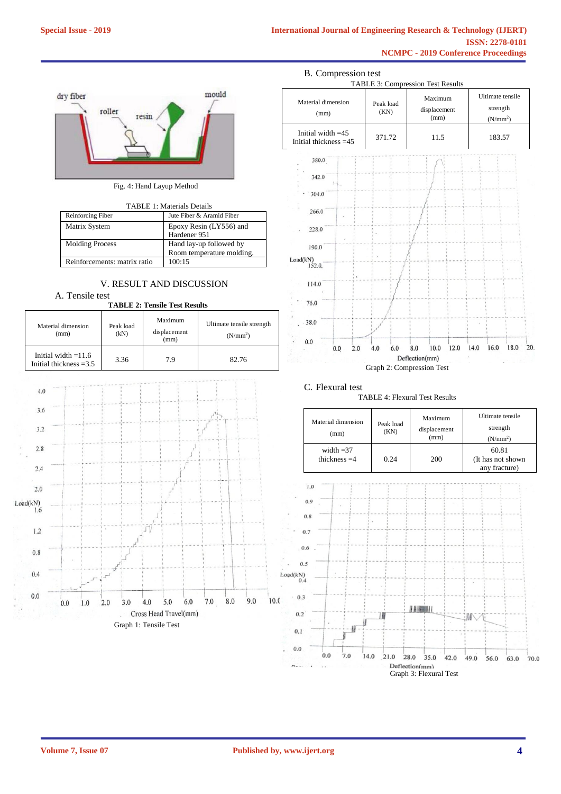

Fig. 4: Hand Layup Method

TABLE 1: Materials Details

| Reinforcing Fiber            | Jute Fiber & Aramid Fiber |
|------------------------------|---------------------------|
| Matrix System                | Epoxy Resin (LY556) and   |
|                              | Hardener 951              |
| <b>Molding Process</b>       | Hand lay-up followed by   |
|                              | Room temperature molding. |
| Reinforcements: matrix ratio | 100:15                    |

# V. RESULT AND DISCUSSION

A. Tensile test **TABLE 2: Tensile Test Results**

|                                                                                 |     |     |     | тарые 4. теняю тем кемиз  |                       |                                        |     |     |                                                            |     |      |  |
|---------------------------------------------------------------------------------|-----|-----|-----|---------------------------|-----------------------|----------------------------------------|-----|-----|------------------------------------------------------------|-----|------|--|
| Material dimension<br>(mm)<br>Initial width $=11.6$<br>Initial thickness $=3.5$ |     |     |     | Peak load<br>(kN)<br>3.36 |                       | Maximum<br>displacement<br>(mm)<br>7.9 |     |     | Ultimate tensile strength<br>(N/mm <sup>2</sup> )<br>82.76 |     |      |  |
|                                                                                 |     |     |     |                           |                       |                                        |     |     |                                                            |     |      |  |
|                                                                                 |     |     |     |                           |                       |                                        |     |     |                                                            |     |      |  |
| 4.0                                                                             |     |     |     |                           |                       |                                        |     |     |                                                            |     |      |  |
| 3.6                                                                             |     |     |     |                           |                       |                                        |     |     |                                                            |     |      |  |
| 3.2                                                                             |     |     |     |                           |                       |                                        |     |     |                                                            |     |      |  |
| 2.8                                                                             |     |     |     |                           |                       |                                        |     |     |                                                            |     |      |  |
| 2,4                                                                             |     |     |     |                           |                       |                                        |     |     |                                                            |     |      |  |
| 2.0                                                                             |     |     |     |                           |                       |                                        |     |     |                                                            |     |      |  |
| Load(kN)<br>1.6                                                                 |     |     |     |                           |                       |                                        |     |     |                                                            |     |      |  |
| 1.2                                                                             |     |     |     |                           |                       |                                        |     |     |                                                            |     |      |  |
| 0.8                                                                             |     |     |     |                           |                       |                                        |     |     |                                                            |     |      |  |
| 0.4                                                                             |     |     |     |                           |                       |                                        |     |     |                                                            |     |      |  |
| 0.0                                                                             | 0.0 | 1.0 | 2.0 | 3.0                       | 4.0                   | 5.0                                    | 6.0 | 7.0 | 8.0                                                        | 9.0 | 10.0 |  |
|                                                                                 |     |     |     |                           | Cross Head Travel(mm) |                                        |     |     |                                                            |     |      |  |





## C. Flexural test



| Material dimension<br>(mm)    | Peak load<br>(KN) | Maximum<br>displacement<br>(mm) | Ultimate tensile<br>strength<br>(N/mm <sup>2</sup> ) |  |
|-------------------------------|-------------------|---------------------------------|------------------------------------------------------|--|
| width $=37$<br>thickness $=4$ | 0.24              | 200                             | 60.81<br>(It has not shown<br>any fracture)          |  |